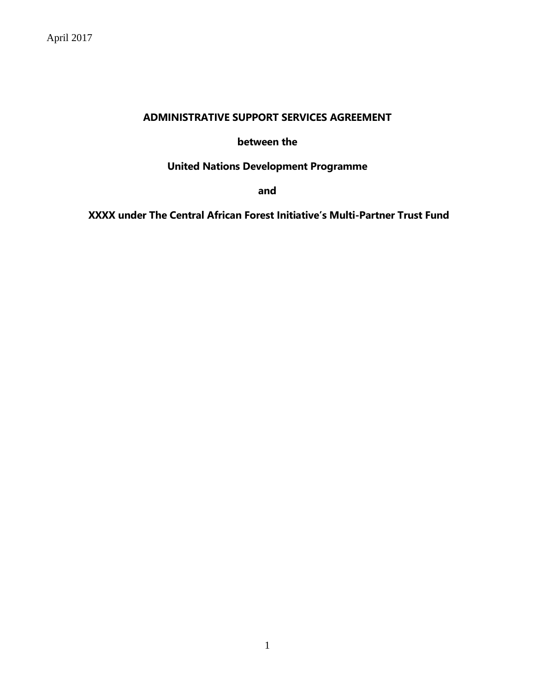## **ADMINISTRATIVE SUPPORT SERVICES AGREEMENT**

#### **between the**

# **United Nations Development Programme**

**and**

**XXXX under The Central African Forest Initiative's Multi-Partner Trust Fund**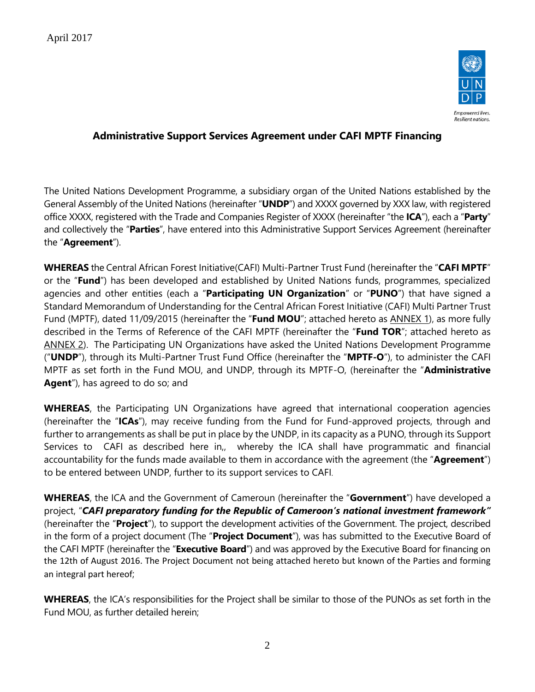

## **Administrative Support Services Agreement under CAFI MPTF Financing**

The United Nations Development Programme, a subsidiary organ of the United Nations established by the General Assembly of the United Nations (hereinafter "**UNDP**") and XXXX governed by XXX law, with registered office XXXX, registered with the Trade and Companies Register of XXXX (hereinafter "the **ICA**"), each a "**Party**" and collectively the "**Parties**", have entered into this Administrative Support Services Agreement (hereinafter the "**Agreement**").

**WHEREAS** the Central African Forest Initiative(CAFI) Multi-Partner Trust Fund (hereinafter the "**CAFI MPTF**" or the "**Fund**") has been developed and established by United Nations funds, programmes, specialized agencies and other entities (each a "**Participating UN Organization**" or "**PUNO**") that have signed a Standard Memorandum of Understanding for the Central African Forest Initiative (CAFI) Multi Partner Trust Fund (MPTF), dated 11/09/2015 (hereinafter the "**Fund MOU**"; attached hereto as ANNEX 1), as more fully described in the Terms of Reference of the CAFI MPTF (hereinafter the "**Fund TOR**"; attached hereto as ANNEX 2). The Participating UN Organizations have asked the United Nations Development Programme ("**UNDP**"), through its Multi-Partner Trust Fund Office (hereinafter the "**MPTF-O**"), to administer the CAFI MPTF as set forth in the Fund MOU, and UNDP, through its MPTF-O, (hereinafter the "**Administrative Agent**"), has agreed to do so; and

**WHEREAS**, the Participating UN Organizations have agreed that international cooperation agencies (hereinafter the "**ICAs**"), may receive funding from the Fund for Fund-approved projects, through and further to arrangements as shall be put in place by the UNDP, in its capacity as a PUNO, through its Support Services to CAFI as described here in,, whereby the ICA shall have programmatic and financial accountability for the funds made available to them in accordance with the agreement (the "**Agreement**") to be entered between UNDP, further to its support services to CAFI.

**WHEREAS**, the ICA and the Government of Cameroun (hereinafter the "**Government**") have developed a project, "*CAFI preparatory funding for the Republic of Cameroon's national investment framework"* (hereinafter the "**Project**"), to support the development activities of the Government. The project, described in the form of a project document (The "**Project Document**"), was has submitted to the Executive Board of the CAFI MPTF (hereinafter the "**Executive Board**") and was approved by the Executive Board for financing on the 12th of August 2016. The Project Document not being attached hereto but known of the Parties and forming an integral part hereof;

**WHEREAS**, the ICA's responsibilities for the Project shall be similar to those of the PUNOs as set forth in the Fund MOU, as further detailed herein;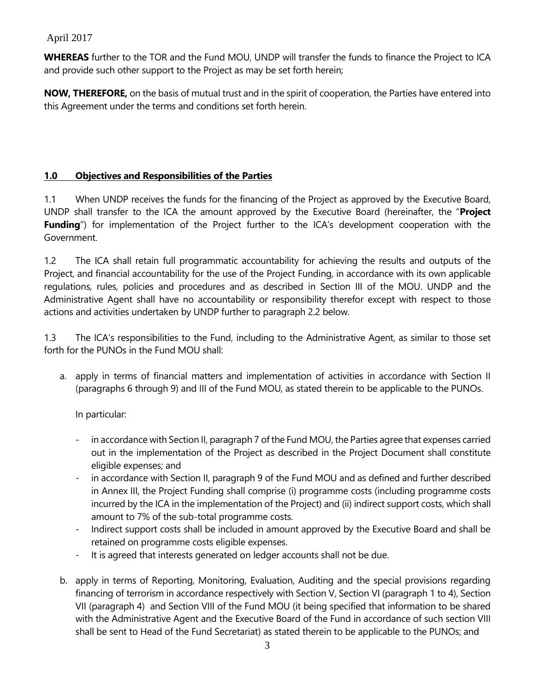**WHEREAS** further to the TOR and the Fund MOU, UNDP will transfer the funds to finance the Project to ICA and provide such other support to the Project as may be set forth herein;

**NOW, THEREFORE,** on the basis of mutual trust and in the spirit of cooperation, the Parties have entered into this Agreement under the terms and conditions set forth herein.

### **1.0 Objectives and Responsibilities of the Parties**

1.1 When UNDP receives the funds for the financing of the Project as approved by the Executive Board, UNDP shall transfer to the ICA the amount approved by the Executive Board (hereinafter, the "**Project** Funding") for implementation of the Project further to the ICA's development cooperation with the Government.

1.2 The ICA shall retain full programmatic accountability for achieving the results and outputs of the Project, and financial accountability for the use of the Project Funding, in accordance with its own applicable regulations, rules, policies and procedures and as described in Section III of the MOU. UNDP and the Administrative Agent shall have no accountability or responsibility therefor except with respect to those actions and activities undertaken by UNDP further to paragraph 2.2 below.

1.3 The ICA's responsibilities to the Fund, including to the Administrative Agent, as similar to those set forth for the PUNOs in the Fund MOU shall:

a. apply in terms of financial matters and implementation of activities in accordance with Section II (paragraphs 6 through 9) and III of the Fund MOU, as stated therein to be applicable to the PUNOs.

In particular:

- in accordance with Section II, paragraph 7 of the Fund MOU, the Parties agree that expenses carried out in the implementation of the Project as described in the Project Document shall constitute eligible expenses; and
- in accordance with Section II, paragraph 9 of the Fund MOU and as defined and further described in Annex III, the Project Funding shall comprise (i) programme costs (including programme costs incurred by the ICA in the implementation of the Project) and (ii) indirect support costs, which shall amount to 7% of the sub-total programme costs.
- Indirect support costs shall be included in amount approved by the Executive Board and shall be retained on programme costs eligible expenses.
- It is agreed that interests generated on ledger accounts shall not be due.
- b. apply in terms of Reporting, Monitoring, Evaluation, Auditing and the special provisions regarding financing of terrorism in accordance respectively with Section V, Section VI (paragraph 1 to 4), Section VII (paragraph 4) and Section VIII of the Fund MOU (it being specified that information to be shared with the Administrative Agent and the Executive Board of the Fund in accordance of such section VIII shall be sent to Head of the Fund Secretariat) as stated therein to be applicable to the PUNOs; and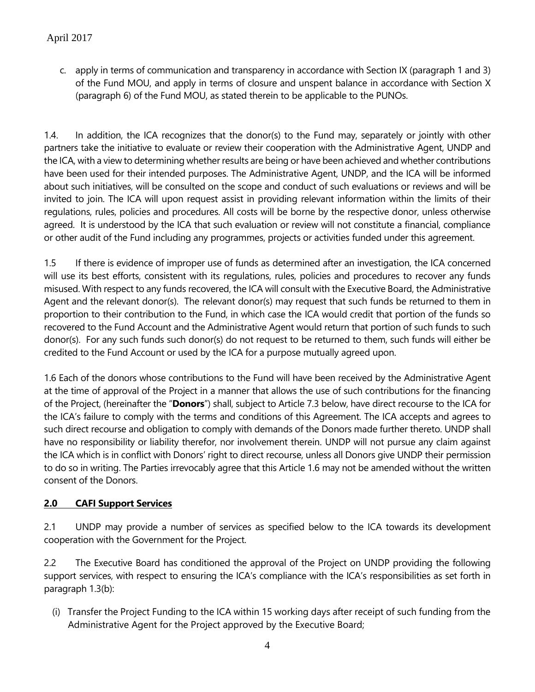c. apply in terms of communication and transparency in accordance with Section IX (paragraph 1 and 3) of the Fund MOU, and apply in terms of closure and unspent balance in accordance with Section X (paragraph 6) of the Fund MOU, as stated therein to be applicable to the PUNOs.

1.4. In addition, the ICA recognizes that the donor(s) to the Fund may, separately or jointly with other partners take the initiative to evaluate or review their cooperation with the Administrative Agent, UNDP and the ICA, with a view to determining whether results are being or have been achieved and whether contributions have been used for their intended purposes. The Administrative Agent, UNDP, and the ICA will be informed about such initiatives, will be consulted on the scope and conduct of such evaluations or reviews and will be invited to join. The ICA will upon request assist in providing relevant information within the limits of their regulations, rules, policies and procedures. All costs will be borne by the respective donor, unless otherwise agreed. It is understood by the ICA that such evaluation or review will not constitute a financial, compliance or other audit of the Fund including any programmes, projects or activities funded under this agreement.

1.5 If there is evidence of improper use of funds as determined after an investigation, the ICA concerned will use its best efforts, consistent with its regulations, rules, policies and procedures to recover any funds misused. With respect to any funds recovered, the ICA will consult with the Executive Board, the Administrative Agent and the relevant donor(s). The relevant donor(s) may request that such funds be returned to them in proportion to their contribution to the Fund, in which case the ICA would credit that portion of the funds so recovered to the Fund Account and the Administrative Agent would return that portion of such funds to such donor(s). For any such funds such donor(s) do not request to be returned to them, such funds will either be credited to the Fund Account or used by the ICA for a purpose mutually agreed upon.

1.6 Each of the donors whose contributions to the Fund will have been received by the Administrative Agent at the time of approval of the Project in a manner that allows the use of such contributions for the financing of the Project, (hereinafter the "**Donors**") shall, subject to Article 7.3 below, have direct recourse to the ICA for the ICA's failure to comply with the terms and conditions of this Agreement. The ICA accepts and agrees to such direct recourse and obligation to comply with demands of the Donors made further thereto. UNDP shall have no responsibility or liability therefor, nor involvement therein. UNDP will not pursue any claim against the ICA which is in conflict with Donors' right to direct recourse, unless all Donors give UNDP their permission to do so in writing. The Parties irrevocably agree that this Article 1.6 may not be amended without the written consent of the Donors.

## **2.0 CAFI Support Services**

2.1 UNDP may provide a number of services as specified below to the ICA towards its development cooperation with the Government for the Project.

2.2 The Executive Board has conditioned the approval of the Project on UNDP providing the following support services, with respect to ensuring the ICA's compliance with the ICA's responsibilities as set forth in paragraph 1.3(b):

(i) Transfer the Project Funding to the ICA within 15 working days after receipt of such funding from the Administrative Agent for the Project approved by the Executive Board;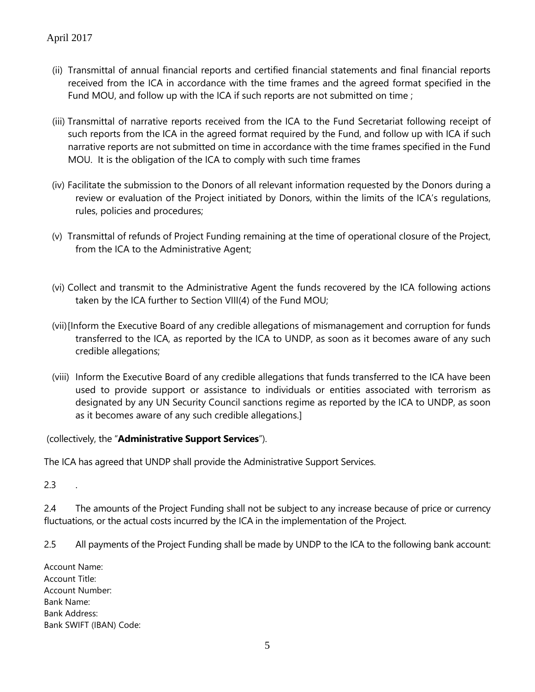- (ii) Transmittal of annual financial reports and certified financial statements and final financial reports received from the ICA in accordance with the time frames and the agreed format specified in the Fund MOU, and follow up with the ICA if such reports are not submitted on time ;
- (iii) Transmittal of narrative reports received from the ICA to the Fund Secretariat following receipt of such reports from the ICA in the agreed format required by the Fund, and follow up with ICA if such narrative reports are not submitted on time in accordance with the time frames specified in the Fund MOU. It is the obligation of the ICA to comply with such time frames
- (iv) Facilitate the submission to the Donors of all relevant information requested by the Donors during a review or evaluation of the Project initiated by Donors, within the limits of the ICA's regulations, rules, policies and procedures;
- (v) Transmittal of refunds of Project Funding remaining at the time of operational closure of the Project, from the ICA to the Administrative Agent;
- (vi) Collect and transmit to the Administrative Agent the funds recovered by the ICA following actions taken by the ICA further to Section VIII(4) of the Fund MOU;
- (vii)[Inform the Executive Board of any credible allegations of mismanagement and corruption for funds transferred to the ICA, as reported by the ICA to UNDP, as soon as it becomes aware of any such credible allegations;
- (viii) Inform the Executive Board of any credible allegations that funds transferred to the ICA have been used to provide support or assistance to individuals or entities associated with terrorism as designated by any UN Security Council sanctions regime as reported by the ICA to UNDP, as soon as it becomes aware of any such credible allegations.]

(collectively, the "**Administrative Support Services**").

The ICA has agreed that UNDP shall provide the Administrative Support Services.

2.3 .

2.4 The amounts of the Project Funding shall not be subject to any increase because of price or currency fluctuations, or the actual costs incurred by the ICA in the implementation of the Project.

2.5 All payments of the Project Funding shall be made by UNDP to the ICA to the following bank account:

Account Name: Account Title: Account Number: Bank Name: Bank Address: Bank SWIFT (IBAN) Code: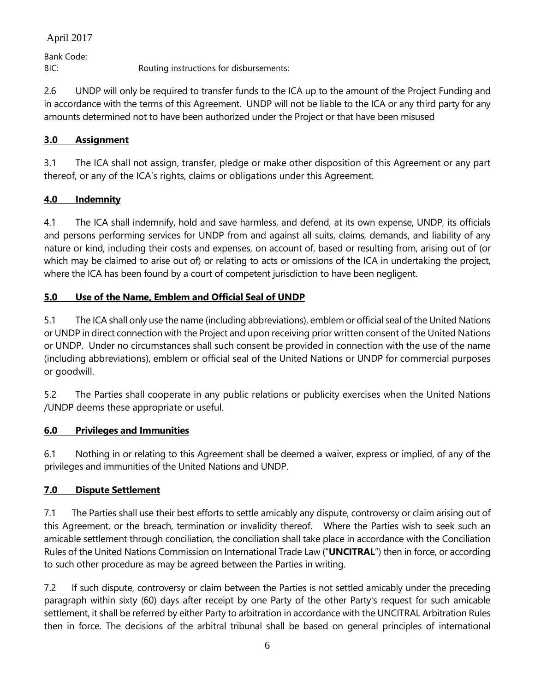Bank Code: BIC: Routing instructions for disbursements:

2.6 UNDP will only be required to transfer funds to the ICA up to the amount of the Project Funding and in accordance with the terms of this Agreement. UNDP will not be liable to the ICA or any third party for any amounts determined not to have been authorized under the Project or that have been misused

## **3.0 Assignment**

3.1 The ICA shall not assign, transfer, pledge or make other disposition of this Agreement or any part thereof, or any of the ICA's rights, claims or obligations under this Agreement.

## **4.0 Indemnity**

4.1 The ICA shall indemnify, hold and save harmless, and defend, at its own expense, UNDP, its officials and persons performing services for UNDP from and against all suits, claims, demands, and liability of any nature or kind, including their costs and expenses, on account of, based or resulting from, arising out of (or which may be claimed to arise out of) or relating to acts or omissions of the ICA in undertaking the project, where the ICA has been found by a court of competent jurisdiction to have been negligent.

## **5.0 Use of the Name, Emblem and Official Seal of UNDP**

5.1 The ICA shall only use the name (including abbreviations), emblem or official seal of the United Nations or UNDP in direct connection with the Project and upon receiving prior written consent of the United Nations or UNDP. Under no circumstances shall such consent be provided in connection with the use of the name (including abbreviations), emblem or official seal of the United Nations or UNDP for commercial purposes or goodwill.

5.2 The Parties shall cooperate in any public relations or publicity exercises when the United Nations /UNDP deems these appropriate or useful.

### **6.0 Privileges and Immunities**

6.1 Nothing in or relating to this Agreement shall be deemed a waiver, express or implied, of any of the privileges and immunities of the United Nations and UNDP.

### **7.0 Dispute Settlement**

7.1 The Parties shall use their best efforts to settle amicably any dispute, controversy or claim arising out of this Agreement, or the breach, termination or invalidity thereof. Where the Parties wish to seek such an amicable settlement through conciliation, the conciliation shall take place in accordance with the Conciliation Rules of the United Nations Commission on International Trade Law ("**UNCITRAL**") then in force, or according to such other procedure as may be agreed between the Parties in writing.

7.2 If such dispute, controversy or claim between the Parties is not settled amicably under the preceding paragraph within sixty (60) days after receipt by one Party of the other Party's request for such amicable settlement, it shall be referred by either Party to arbitration in accordance with the UNCITRAL Arbitration Rules then in force. The decisions of the arbitral tribunal shall be based on general principles of international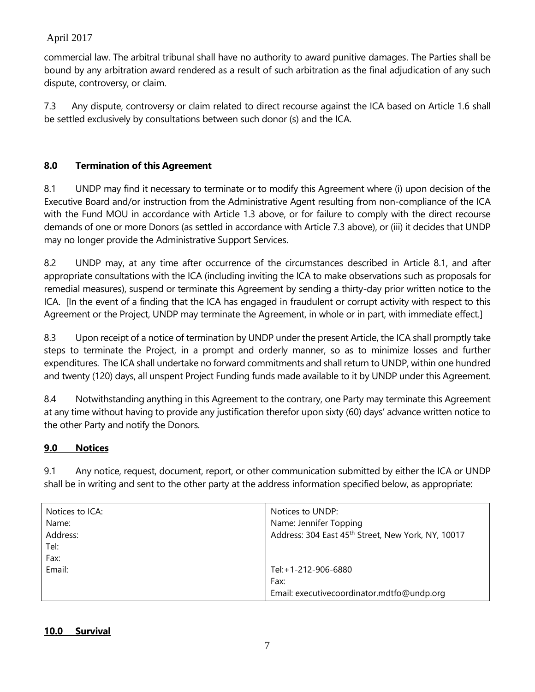commercial law. The arbitral tribunal shall have no authority to award punitive damages. The Parties shall be bound by any arbitration award rendered as a result of such arbitration as the final adjudication of any such dispute, controversy, or claim.

7.3 Any dispute, controversy or claim related to direct recourse against the ICA based on Article 1.6 shall be settled exclusively by consultations between such donor (s) and the ICA.

## **8.0 Termination of this Agreement**

8.1 UNDP may find it necessary to terminate or to modify this Agreement where (i) upon decision of the Executive Board and/or instruction from the Administrative Agent resulting from non-compliance of the ICA with the Fund MOU in accordance with Article 1.3 above, or for failure to comply with the direct recourse demands of one or more Donors (as settled in accordance with Article 7.3 above), or (iii) it decides that UNDP may no longer provide the Administrative Support Services.

8.2 UNDP may, at any time after occurrence of the circumstances described in Article 8.1, and after appropriate consultations with the ICA (including inviting the ICA to make observations such as proposals for remedial measures), suspend or terminate this Agreement by sending a thirty-day prior written notice to the ICA. [In the event of a finding that the ICA has engaged in fraudulent or corrupt activity with respect to this Agreement or the Project, UNDP may terminate the Agreement, in whole or in part, with immediate effect.]

8.3 Upon receipt of a notice of termination by UNDP under the present Article, the ICA shall promptly take steps to terminate the Project, in a prompt and orderly manner, so as to minimize losses and further expenditures. The ICA shall undertake no forward commitments and shall return to UNDP, within one hundred and twenty (120) days, all unspent Project Funding funds made available to it by UNDP under this Agreement.

8.4 Notwithstanding anything in this Agreement to the contrary, one Party may terminate this Agreement at any time without having to provide any justification therefor upon sixty (60) days' advance written notice to the other Party and notify the Donors.

## **9.0 Notices**

9.1 Any notice, request, document, report, or other communication submitted by either the ICA or UNDP shall be in writing and sent to the other party at the address information specified below, as appropriate:

| Notices to ICA:<br>Name: | Notices to UNDP:<br>Name: Jennifer Topping         |
|--------------------------|----------------------------------------------------|
| Address:                 | Address: 304 East 45th Street, New York, NY, 10017 |
| Tel:                     |                                                    |
| Fax:                     |                                                    |
| Email:                   | Tel: +1-212-906-6880                               |
|                          | Fax:                                               |
|                          | Email: executivecoordinator.mdtfo@undp.org         |

### **10.0 Survival**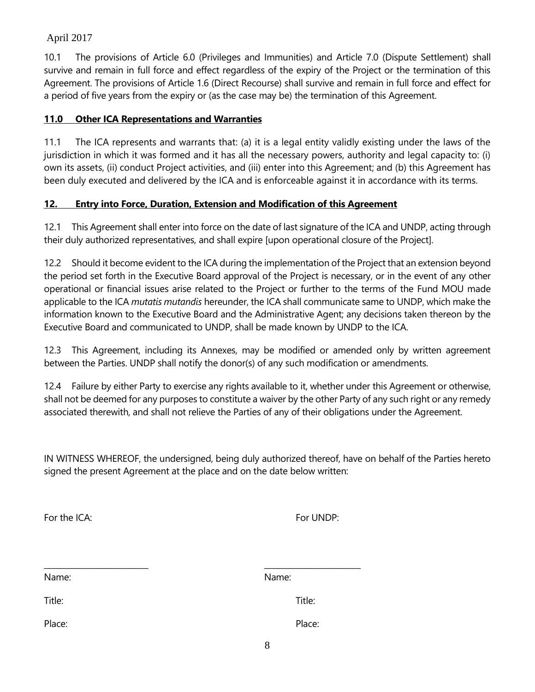10.1 The provisions of Article 6.0 (Privileges and Immunities) and Article 7.0 (Dispute Settlement) shall survive and remain in full force and effect regardless of the expiry of the Project or the termination of this Agreement. The provisions of Article 1.6 (Direct Recourse) shall survive and remain in full force and effect for a period of five years from the expiry or (as the case may be) the termination of this Agreement.

#### **11.0 Other ICA Representations and Warranties**

11.1 The ICA represents and warrants that: (a) it is a legal entity validly existing under the laws of the jurisdiction in which it was formed and it has all the necessary powers, authority and legal capacity to: (i) own its assets, (ii) conduct Project activities, and (iii) enter into this Agreement; and (b) this Agreement has been duly executed and delivered by the ICA and is enforceable against it in accordance with its terms.

#### **12. Entry into Force, Duration, Extension and Modification of this Agreement**

12.1 This Agreement shall enter into force on the date of last signature of the ICA and UNDP, acting through their duly authorized representatives, and shall expire [upon operational closure of the Project].

12.2 Should it become evident to the ICA during the implementation of the Project that an extension beyond the period set forth in the Executive Board approval of the Project is necessary, or in the event of any other operational or financial issues arise related to the Project or further to the terms of the Fund MOU made applicable to the ICA *mutatis mutandis* hereunder, the ICA shall communicate same to UNDP, which make the information known to the Executive Board and the Administrative Agent; any decisions taken thereon by the Executive Board and communicated to UNDP, shall be made known by UNDP to the ICA.

12.3 This Agreement, including its Annexes, may be modified or amended only by written agreement between the Parties. UNDP shall notify the donor(s) of any such modification or amendments.

12.4 Failure by either Party to exercise any rights available to it, whether under this Agreement or otherwise, shall not be deemed for any purposes to constitute a waiver by the other Party of any such right or any remedy associated therewith, and shall not relieve the Parties of any of their obligations under the Agreement.

IN WITNESS WHEREOF, the undersigned, being duly authorized thereof, have on behalf of the Parties hereto signed the present Agreement at the place and on the date below written:

| For the ICA: | For UNDP: |
|--------------|-----------|
| Name:        | Name:     |
| Title:       | Title:    |
| Place:       | Place:    |
|              | 8         |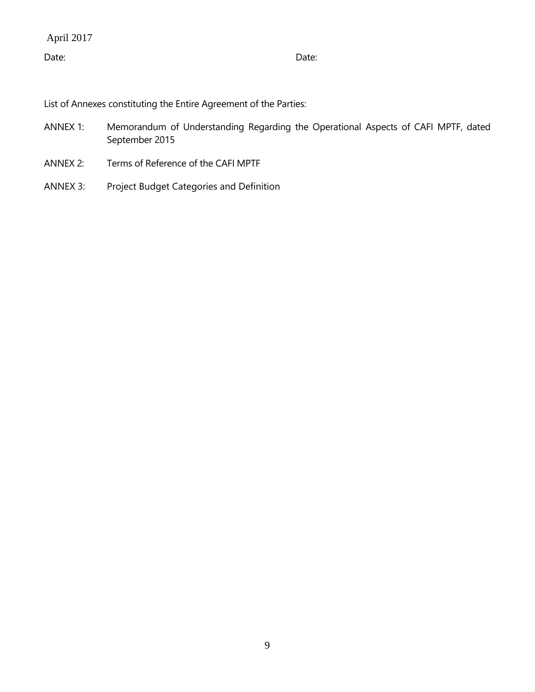Date: **Date:** Date: **Date:** Partnership of the contract of the contract of the contract of the contract of the contract of the contract of the contract of the contract of the contract of the contract of the contract of the

List of Annexes constituting the Entire Agreement of the Parties:

- ANNEX 1: Memorandum of Understanding Regarding the Operational Aspects of CAFI MPTF, dated September 2015
- ANNEX 2: Terms of Reference of the CAFI MPTF
- ANNEX 3: Project Budget Categories and Definition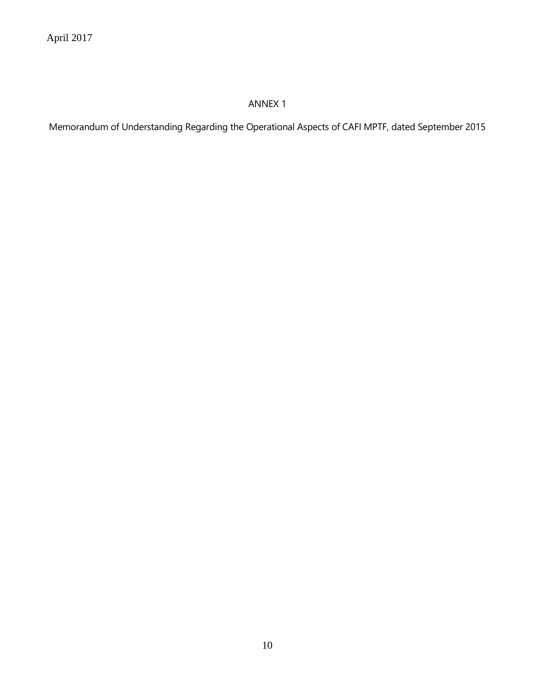# ANNEX 1

Memorandum of Understanding Regarding the Operational Aspects of CAFI MPTF, dated September 2015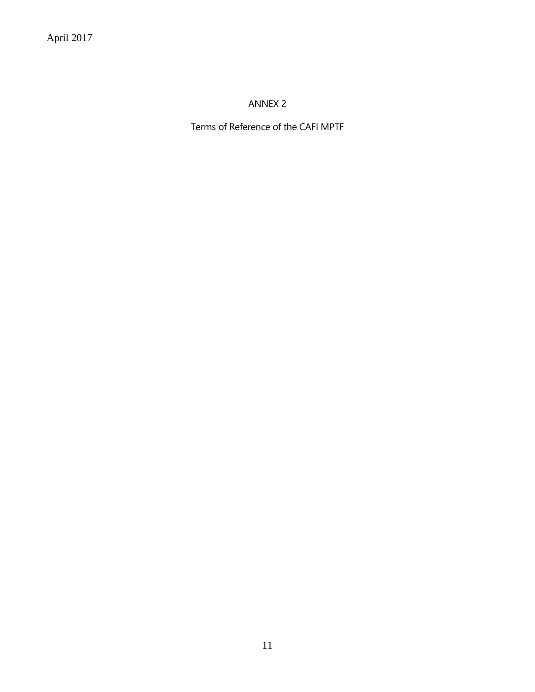ANNEX 2

Terms of Reference of the CAFI MPTF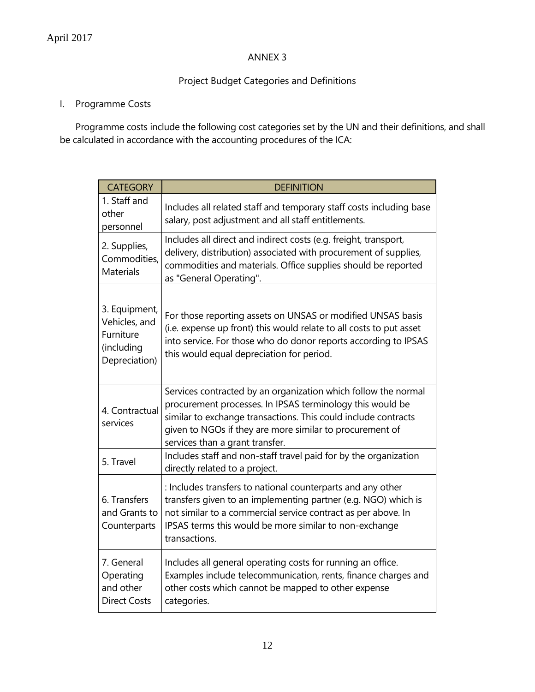### ANNEX 3

## Project Budget Categories and Definitions

## I. Programme Costs

Programme costs include the following cost categories set by the UN and their definitions, and shall be calculated in accordance with the accounting procedures of the ICA:

| <b>CATEGORY</b>                                                            | <b>DEFINITION</b>                                                                                                                                                                                                                                                                            |
|----------------------------------------------------------------------------|----------------------------------------------------------------------------------------------------------------------------------------------------------------------------------------------------------------------------------------------------------------------------------------------|
| 1. Staff and<br>other<br>personnel                                         | Includes all related staff and temporary staff costs including base<br>salary, post adjustment and all staff entitlements.                                                                                                                                                                   |
| 2. Supplies,<br>Commodities,<br><b>Materials</b>                           | Includes all direct and indirect costs (e.g. freight, transport,<br>delivery, distribution) associated with procurement of supplies,<br>commodities and materials. Office supplies should be reported<br>as "General Operating".                                                             |
| 3. Equipment,<br>Vehicles, and<br>Furniture<br>(including<br>Depreciation) | For those reporting assets on UNSAS or modified UNSAS basis<br>(i.e. expense up front) this would relate to all costs to put asset<br>into service. For those who do donor reports according to IPSAS<br>this would equal depreciation for period.                                           |
| 4. Contractual<br>services                                                 | Services contracted by an organization which follow the normal<br>procurement processes. In IPSAS terminology this would be<br>similar to exchange transactions. This could include contracts<br>given to NGOs if they are more similar to procurement of<br>services than a grant transfer. |
| 5. Travel                                                                  | Includes staff and non-staff travel paid for by the organization<br>directly related to a project.                                                                                                                                                                                           |
| 6. Transfers<br>and Grants to<br>Counterparts                              | : Includes transfers to national counterparts and any other<br>transfers given to an implementing partner (e.g. NGO) which is<br>not similar to a commercial service contract as per above. In<br>IPSAS terms this would be more similar to non-exchange<br>transactions.                    |
| 7. General<br>Operating<br>and other<br><b>Direct Costs</b>                | Includes all general operating costs for running an office.<br>Examples include telecommunication, rents, finance charges and<br>other costs which cannot be mapped to other expense<br>categories.                                                                                          |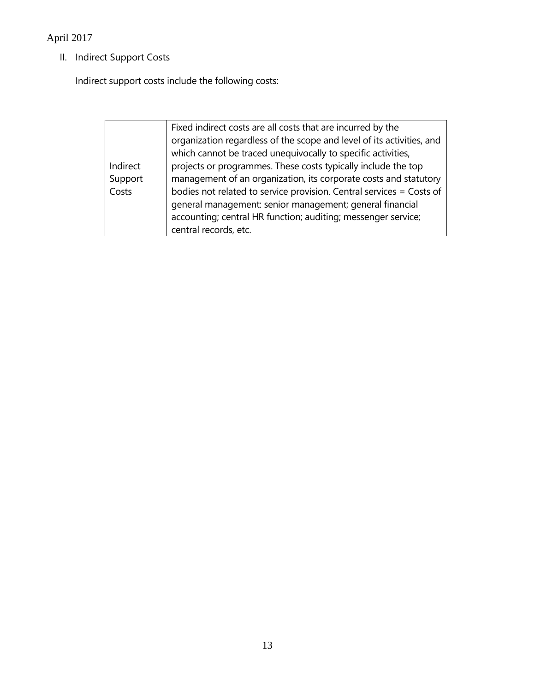II. Indirect Support Costs

Indirect support costs include the following costs:

|          | Fixed indirect costs are all costs that are incurred by the           |
|----------|-----------------------------------------------------------------------|
|          | organization regardless of the scope and level of its activities, and |
|          | which cannot be traced unequivocally to specific activities,          |
| Indirect | projects or programmes. These costs typically include the top         |
| Support  | management of an organization, its corporate costs and statutory      |
| Costs    | bodies not related to service provision. Central services = Costs of  |
|          | general management: senior management; general financial              |
|          | accounting; central HR function; auditing; messenger service;         |
|          | central records, etc.                                                 |